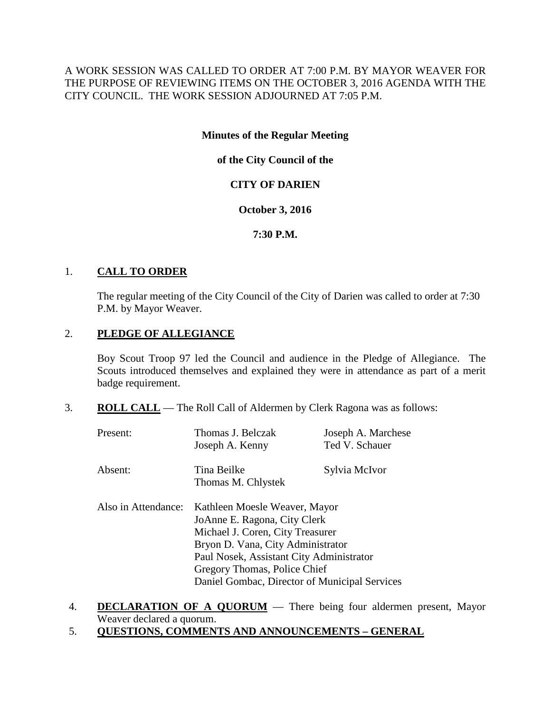A WORK SESSION WAS CALLED TO ORDER AT 7:00 P.M. BY MAYOR WEAVER FOR THE PURPOSE OF REVIEWING ITEMS ON THE OCTOBER 3, 2016 AGENDA WITH THE CITY COUNCIL. THE WORK SESSION ADJOURNED AT 7:05 P.M.

### **Minutes of the Regular Meeting**

## **of the City Council of the**

## **CITY OF DARIEN**

### **October 3, 2016**

## **7:30 P.M.**

## 1. **CALL TO ORDER**

The regular meeting of the City Council of the City of Darien was called to order at 7:30 P.M. by Mayor Weaver.

## 2. **PLEDGE OF ALLEGIANCE**

Boy Scout Troop 97 led the Council and audience in the Pledge of Allegiance. The Scouts introduced themselves and explained they were in attendance as part of a merit badge requirement.

3. **ROLL CALL** — The Roll Call of Aldermen by Clerk Ragona was as follows:

| Present:            | Thomas J. Belczak<br>Joseph A. Kenny                                                                                                                                                                                                                                | Joseph A. Marchese<br>Ted V. Schauer |
|---------------------|---------------------------------------------------------------------------------------------------------------------------------------------------------------------------------------------------------------------------------------------------------------------|--------------------------------------|
| Absent:             | Tina Beilke<br>Sylvia McIvor<br>Thomas M. Chlystek                                                                                                                                                                                                                  |                                      |
| Also in Attendance: | Kathleen Moesle Weaver, Mayor<br>JoAnne E. Ragona, City Clerk<br>Michael J. Coren, City Treasurer<br>Bryon D. Vana, City Administrator<br>Paul Nosek, Assistant City Administrator<br>Gregory Thomas, Police Chief<br>Daniel Gombac, Director of Municipal Services |                                      |

- 4. **DECLARATION OF A QUORUM** There being four aldermen present, Mayor Weaver declared a quorum.
- 5. **QUESTIONS, COMMENTS AND ANNOUNCEMENTS – GENERAL**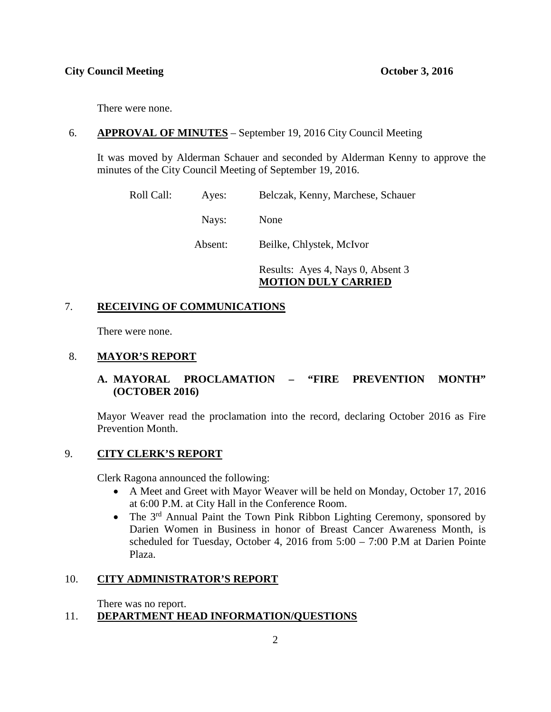There were none.

## 6. **APPROVAL OF MINUTES** – September 19, 2016 City Council Meeting

It was moved by Alderman Schauer and seconded by Alderman Kenny to approve the minutes of the City Council Meeting of September 19, 2016.

Roll Call: Ayes: Belczak, Kenny, Marchese, Schauer Nays: None Absent: Beilke, Chlystek, McIvor Results: Ayes 4, Nays 0, Absent 3 **MOTION DULY CARRIED**

## 7. **RECEIVING OF COMMUNICATIONS**

There were none.

### 8. **MAYOR'S REPORT**

## **A. MAYORAL PROCLAMATION – "FIRE PREVENTION MONTH" (OCTOBER 2016)**

Mayor Weaver read the proclamation into the record, declaring October 2016 as Fire Prevention Month.

### 9. **CITY CLERK'S REPORT**

Clerk Ragona announced the following:

- A Meet and Greet with Mayor Weaver will be held on Monday, October 17, 2016 at 6:00 P.M. at City Hall in the Conference Room.
- The 3<sup>rd</sup> Annual Paint the Town Pink Ribbon Lighting Ceremony, sponsored by Darien Women in Business in honor of Breast Cancer Awareness Month, is scheduled for Tuesday, October 4, 2016 from 5:00 – 7:00 P.M at Darien Pointe Plaza.

## 10. **CITY ADMINISTRATOR'S REPORT**

There was no report.

## 11. **DEPARTMENT HEAD INFORMATION/QUESTIONS**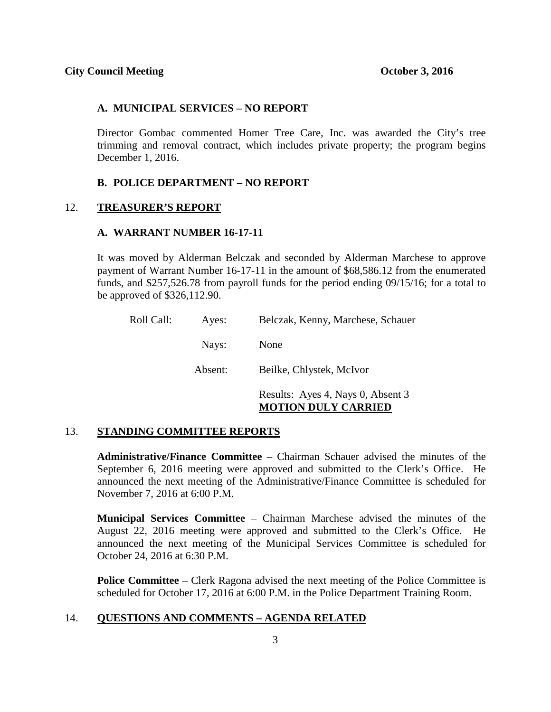#### **A. MUNICIPAL SERVICES – NO REPORT**

Director Gombac commented Homer Tree Care, Inc. was awarded the City's tree trimming and removal contract, which includes private property; the program begins December 1, 2016.

#### **B. POLICE DEPARTMENT – NO REPORT**

### 12. **TREASURER'S REPORT**

#### **A. WARRANT NUMBER 16-17-11**

It was moved by Alderman Belczak and seconded by Alderman Marchese to approve payment of Warrant Number 16-17-11 in the amount of \$68,586.12 from the enumerated funds, and \$257,526.78 from payroll funds for the period ending 09/15/16; for a total to be approved of \$326,112.90.

| Roll Call: | Ayes:   | Belczak, Kenny, Marchese, Schauer                               |
|------------|---------|-----------------------------------------------------------------|
|            | Nays:   | None                                                            |
|            | Absent: | Beilke, Chlystek, McIvor                                        |
|            |         | Results: Ayes 4, Nays 0, Absent 3<br><b>MOTION DULY CARRIED</b> |

#### 13. **STANDING COMMITTEE REPORTS**

**Administrative/Finance Committee** – Chairman Schauer advised the minutes of the September 6, 2016 meeting were approved and submitted to the Clerk's Office. He announced the next meeting of the Administrative/Finance Committee is scheduled for November 7, 2016 at 6:00 P.M.

**Municipal Services Committee** – Chairman Marchese advised the minutes of the August 22, 2016 meeting were approved and submitted to the Clerk's Office. He announced the next meeting of the Municipal Services Committee is scheduled for October 24, 2016 at 6:30 P.M.

**Police Committee** – Clerk Ragona advised the next meeting of the Police Committee is scheduled for October 17, 2016 at 6:00 P.M. in the Police Department Training Room.

### 14. **QUESTIONS AND COMMENTS – AGENDA RELATED**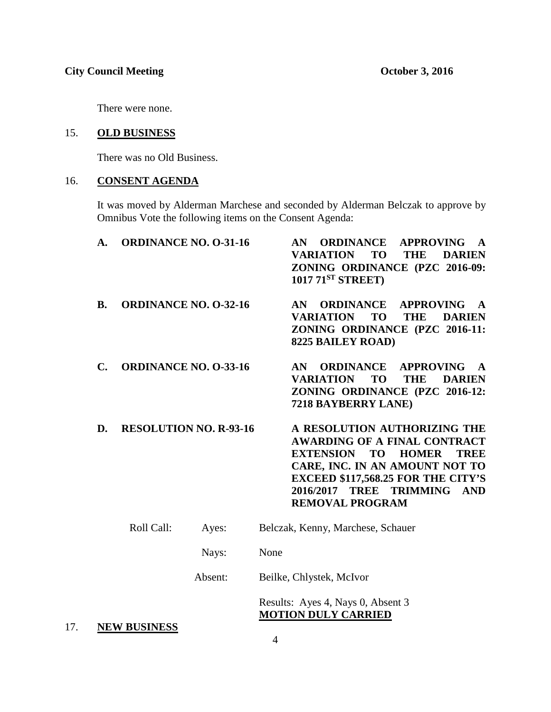There were none.

### 15. **OLD BUSINESS**

There was no Old Business.

## 16. **CONSENT AGENDA**

It was moved by Alderman Marchese and seconded by Alderman Belczak to approve by Omnibus Vote the following items on the Consent Agenda:

| A.        | <b>ORDINANCE NO. O-31-16</b> |                               | <b>AN ORDINANCE</b><br><b>APPROVING</b><br>$\mathbf{A}$<br><b>VARIATION</b><br><b>TO</b><br><b>THE</b><br><b>DARIEN</b><br>ZONING ORDINANCE (PZC 2016-09:<br>1017 71 <sup>ST</sup> STREET                                                                            |
|-----------|------------------------------|-------------------------------|----------------------------------------------------------------------------------------------------------------------------------------------------------------------------------------------------------------------------------------------------------------------|
| <b>B.</b> | <b>ORDINANCE NO. O-32-16</b> |                               | <b>ORDINANCE</b><br><b>APPROVING</b><br>AN<br>$\mathbf{A}$<br><b>VARIATION</b><br>TO<br><b>THE</b><br><b>DARIEN</b><br>ZONING ORDINANCE (PZC 2016-11:<br><b>8225 BAILEY ROAD)</b>                                                                                    |
| C.        | <b>ORDINANCE NO. O-33-16</b> |                               | <b>ORDINANCE</b><br><b>APPROVING</b><br>AN.<br>$\mathbf{A}$<br><b>VARIATION</b><br><b>TO</b><br><b>THE</b><br><b>DARIEN</b><br>ZONING ORDINANCE (PZC 2016-12:<br>7218 BAYBERRY LANE)                                                                                 |
| D.        |                              | <b>RESOLUTION NO. R-93-16</b> | A RESOLUTION AUTHORIZING THE<br><b>AWARDING OF A FINAL CONTRACT</b><br><b>EXTENSION</b><br><b>TO HOMER</b><br><b>TREE</b><br>CARE, INC. IN AN AMOUNT NOT TO<br><b>EXCEED \$117,568.25 FOR THE CITY'S</b><br>TREE TRIMMING AND<br>2016/2017<br><b>REMOVAL PROGRAM</b> |
|           | Roll Call:                   | Ayes:                         | Belczak, Kenny, Marchese, Schauer                                                                                                                                                                                                                                    |
|           |                              | Nays:                         | None                                                                                                                                                                                                                                                                 |
| Absent:   |                              |                               | Beilke, Chlystek, McIvor                                                                                                                                                                                                                                             |
|           |                              |                               | Results: Ayes 4, Nays 0, Absent 3                                                                                                                                                                                                                                    |

# **MOTION DULY CARRIED**

17. **NEW BUSINESS**